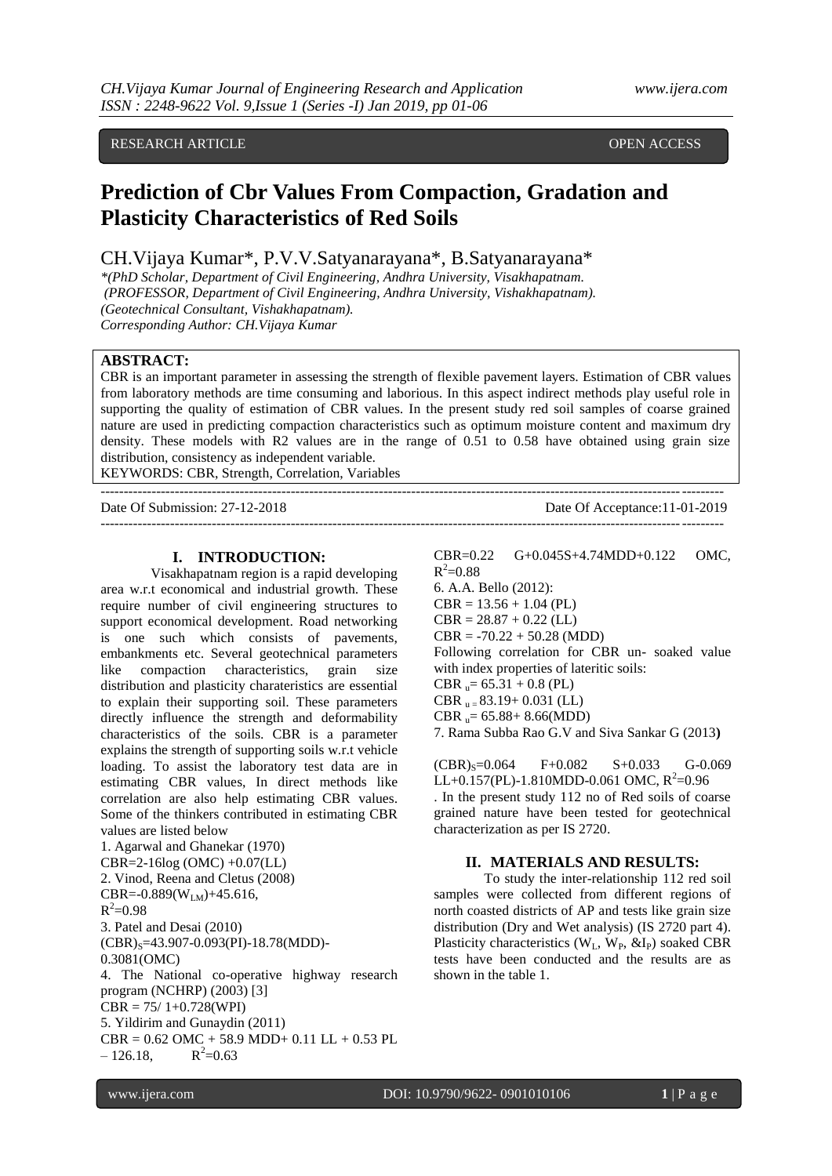# RESEARCH ARTICLE **CONSERVERS** OPEN ACCESS OPEN ACCESS

# **Prediction of Cbr Values From Compaction, Gradation and Plasticity Characteristics of Red Soils**

CH.Vijaya Kumar\*, P.V.V.Satyanarayana\*, B.Satyanarayana\*

*\*(PhD Scholar, Department of Civil Engineering, Andhra University, Visakhapatnam. (PROFESSOR, Department of Civil Engineering, Andhra University, Vishakhapatnam). (Geotechnical Consultant, Vishakhapatnam). Corresponding Author: CH.Vijaya Kumar*

# **ABSTRACT:**

CBR is an important parameter in assessing the strength of flexible pavement layers. Estimation of CBR values from laboratory methods are time consuming and laborious. In this aspect indirect methods play useful role in supporting the quality of estimation of CBR values. In the present study red soil samples of coarse grained nature are used in predicting compaction characteristics such as optimum moisture content and maximum dry density. These models with R2 values are in the range of 0.51 to 0.58 have obtained using grain size distribution, consistency as independent variable.

--------------------------------------------------------------------------------------------------------------------------------------

KEYWORDS: CBR, Strength, Correlation, Variables

Date Of Submission: 27-12-2018 Date Of Acceptance:11-01-2019

--------------------------------------------------------------------------------------------------------------------------------------

#### **I. INTRODUCTION:**

Visakhapatnam region is a rapid developing area w.r.t economical and industrial growth. These require number of civil engineering structures to support economical development. Road networking is one such which consists of pavements, embankments etc. Several geotechnical parameters like compaction characteristics, grain size distribution and plasticity charateristics are essential to explain their supporting soil. These parameters directly influence the strength and deformability characteristics of the soils. CBR is a parameter explains the strength of supporting soils w.r.t vehicle loading. To assist the laboratory test data are in estimating CBR values, In direct methods like correlation are also help estimating CBR values. Some of the thinkers contributed in estimating CBR values are listed below

1. Agarwal and Ghanekar (1970) CBR=2-16log (OMC) +0.07(LL) 2. Vinod, Reena and Cletus (2008) CBR=-0.889( $W_{LM}$ )+45.616,  $R^2 = 0.98$ 3. Patel and Desai (2010)  $(CBR)_{S}$ =43.907-0.093(PI)-18.78(MDD)-0.3081(OMC) 4. The National co-operative highway research program (NCHRP) (2003) [3]  $CBR = 75/1+0.728(WPI)$ 5. Yildirim and Gunaydin (2011)  $CBR = 0.62$  OMC + 58.9 MDD+ 0.11 LL + 0.53 PL  $-126.18$  $R^2 = 0.63$ 

CBR=0.22 G+0.045S+4.74MDD+0.122 OMC,  $R^2 = 0.88$ 6. A.A. Bello (2012):  $CBR = 13.56 + 1.04$  (PL)  $CBR = 28.87 + 0.22$  (LL)  $CBR = -70.22 + 50.28$  (MDD) Following correlation for CBR un- soaked value with index properties of lateritic soils:  $CBR_{\text{u}} = 65.31 + 0.8$  (PL) CBR  $_{\text{u}}$  = 83.19+ 0.031 (LL)  $CBR_{\text{u}}= 65.88+8.66(\text{MDD})$ 7. Rama Subba Rao G.V and Siva Sankar G (2013**)**

 $(CBR)_s = 0.064$  F+0.082 S+0.033 G-0.069 LL+0.157(PL)-1.810MDD-0.061 OMC,  $R^2$ =0.96 . In the present study 112 no of Red soils of coarse grained nature have been tested for geotechnical characterization as per IS 2720.

#### **II. MATERIALS AND RESULTS:**

To study the inter-relationship 112 red soil samples were collected from different regions of north coasted districts of AP and tests like grain size distribution (Dry and Wet analysis) (IS 2720 part 4). Plasticity characteristics  $(W_L, W_P, \&I_P)$  soaked CBR tests have been conducted and the results are as shown in the table 1.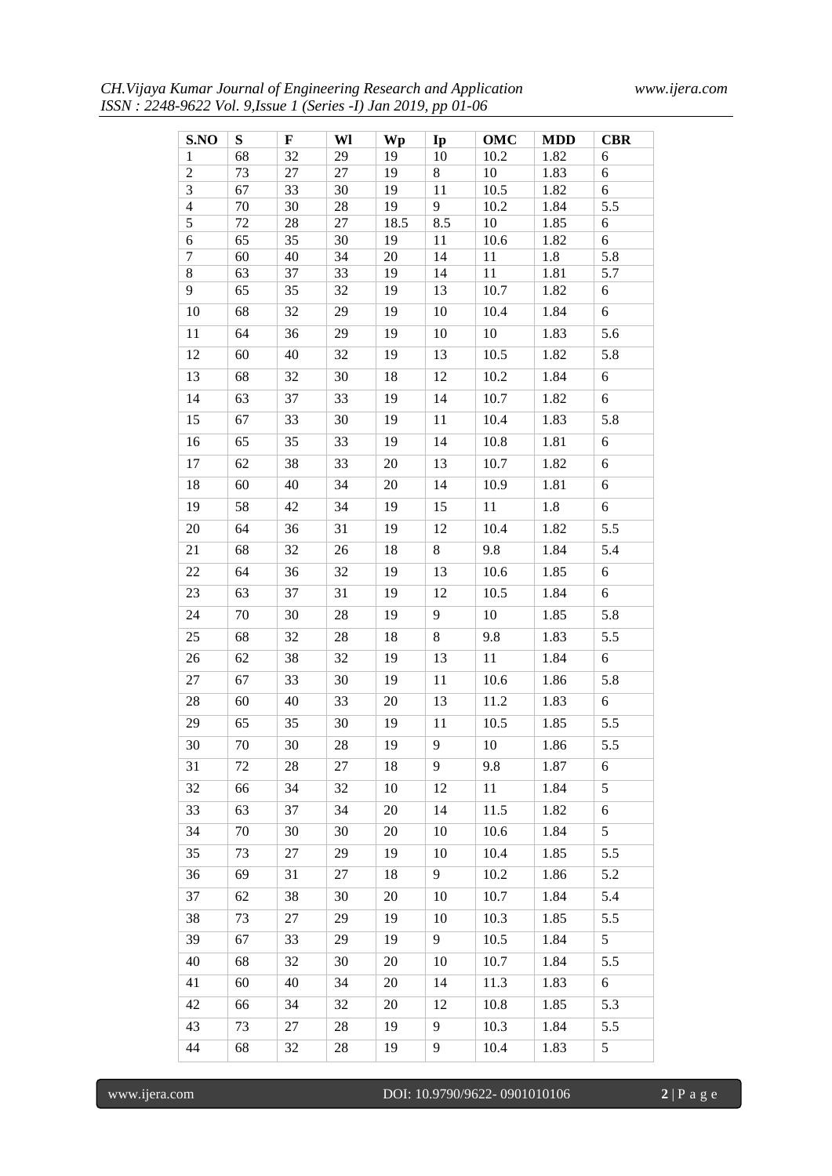| CH.Vijaya Kumar Journal of Engineering Research and Application |  |  |
|-----------------------------------------------------------------|--|--|
| ISSN: 2248-9622 Vol. 9, Issue 1 (Series -I) Jan 2019, pp 01-06  |  |  |

| S.NO           | S        | $\mathbf F$ | Wl       | Wp       | Ip       | OMC        | <b>MDD</b>  | <b>CBR</b> |
|----------------|----------|-------------|----------|----------|----------|------------|-------------|------------|
| 1              | 68       | 32          | 29       | 19       | 10       | 10.2       | 1.82        | 6          |
| $\overline{c}$ | 73       | 27          | 27       | 19       | 8        | 10         | 1.83        | 6          |
| 3              | 67       | 33          | 30       | 19       | 11       | 10.5       | 1.82        | 6          |
| 4              | 70       | 30          | 28       | 19       | 9        | 10.2       | 1.84        | 5.5        |
| $\overline{5}$ | 72       | 28          | 27       | 18.5     | 8.5      | 10         | 1.85        | 6          |
| 6<br>$\tau$    | 65<br>60 | 35<br>40    | 30<br>34 | 19<br>20 | 11<br>14 | 10.6<br>11 | 1.82<br>1.8 | 6<br>5.8   |
| $8\,$          | 63       | 37          | 33       | 19       | 14       | 11         | 1.81        | 5.7        |
| 9              | 65       | 35          | 32       | 19       | 13       | 10.7       | 1.82        | 6          |
| 10             | 68       | 32          | 29       | 19       | 10       | 10.4       | 1.84        | 6          |
| 11             | 64       | 36          | 29       | 19       | 10       | 10         | 1.83        | 5.6        |
| 12             | 60       | 40          | 32       | 19       | 13       | 10.5       | 1.82        | 5.8        |
| 13             | 68       | 32          | 30       | 18       | 12       | 10.2       | 1.84        | 6          |
| 14             | 63       | 37          | 33       | 19       | 14       | 10.7       | 1.82        | 6          |
| 15             | 67       | 33          | 30       | 19       | 11       | 10.4       | 1.83        | 5.8        |
| 16             | 65       | 35          | 33       | 19       | 14       | 10.8       | 1.81        | 6          |
| 17             | 62       | 38          | 33       | 20       | 13       | 10.7       | 1.82        | 6          |
| 18             | 60       | 40          | 34       | 20       | 14       | 10.9       | 1.81        | 6          |
| 19             | 58       | 42          | 34       | 19       | 15       | 11         | 1.8         | 6          |
| 20             | 64       | 36          | 31       | 19       | 12       | 10.4       | 1.82        | 5.5        |
| 21             | 68       | 32          | 26       | 18       | 8        | 9.8        | 1.84        | 5.4        |
| 22             | 64       | 36          | 32       | 19       | 13       | 10.6       | 1.85        | 6          |
| 23             | 63       | 37          | 31       | 19       | 12       | 10.5       | 1.84        | 6          |
| 24             | 70       | 30          | $28\,$   | 19       | 9        | 10         | 1.85        | 5.8        |
| 25             | 68       | 32          | 28       | 18       | 8        | 9.8        | 1.83        | 5.5        |
| 26             | 62       | 38          | 32       | 19       | 13       | 11         | 1.84        | 6          |
| 27             | 67       | 33          | 30       | 19       | 11       | 10.6       | 1.86        | 5.8        |
| 28             | 60       | 40          | 33       | 20       | 13       | 11.2       | 1.83        | 6          |
| 29             | 65       | 35          | 30       | 19       | 11       | 10.5       | 1.85        | 5.5        |
| 30             | 70       | 30          | 28       | 19       | 9        | 10         | 1.86        | 5.5        |
| 31             | 72       | 28          | 27       | 18       | 9        | 9.8        | 1.87        | 6          |
| 32             | 66       | 34          | 32       | $10\,$   | 12       | 11         | 1.84        | 5          |
| 33             | 63       | 37          | 34       | 20       | 14       | 11.5       | 1.82        | 6          |
| 34             | 70       | 30          | 30       | 20       | 10       | 10.6       | 1.84        | 5          |
| 35             | 73       | 27          | 29       | 19       | 10       | 10.4       | 1.85        | 5.5        |
| 36             | 69       | 31          | 27       | 18       | 9        | 10.2       | 1.86        | 5.2        |
| 37             | 62       | 38          | 30       | 20       | 10       | 10.7       | 1.84        | 5.4        |
| 38             | 73       | 27          | 29       | 19       | 10       | 10.3       | 1.85        | 5.5        |
| 39             | 67       | 33          | 29       | 19       | 9        | 10.5       | 1.84        | 5          |
| 40             | 68       | 32          | 30       | 20       | 10       | 10.7       | 1.84        | 5.5        |
| 41             | 60       | 40          | 34       | 20       | 14       | 11.3       | 1.83        | 6          |
| 42             | 66       | 34          | 32       | 20       | 12       | 10.8       | 1.85        | 5.3        |
| 43             | 73       | 27          | 28       | 19       | 9        | 10.3       | 1.84        | 5.5        |
| 44             | 68       | 32          | 28       | 19       | 9        | 10.4       | 1.83        | 5          |
|                |          |             |          |          |          |            |             |            |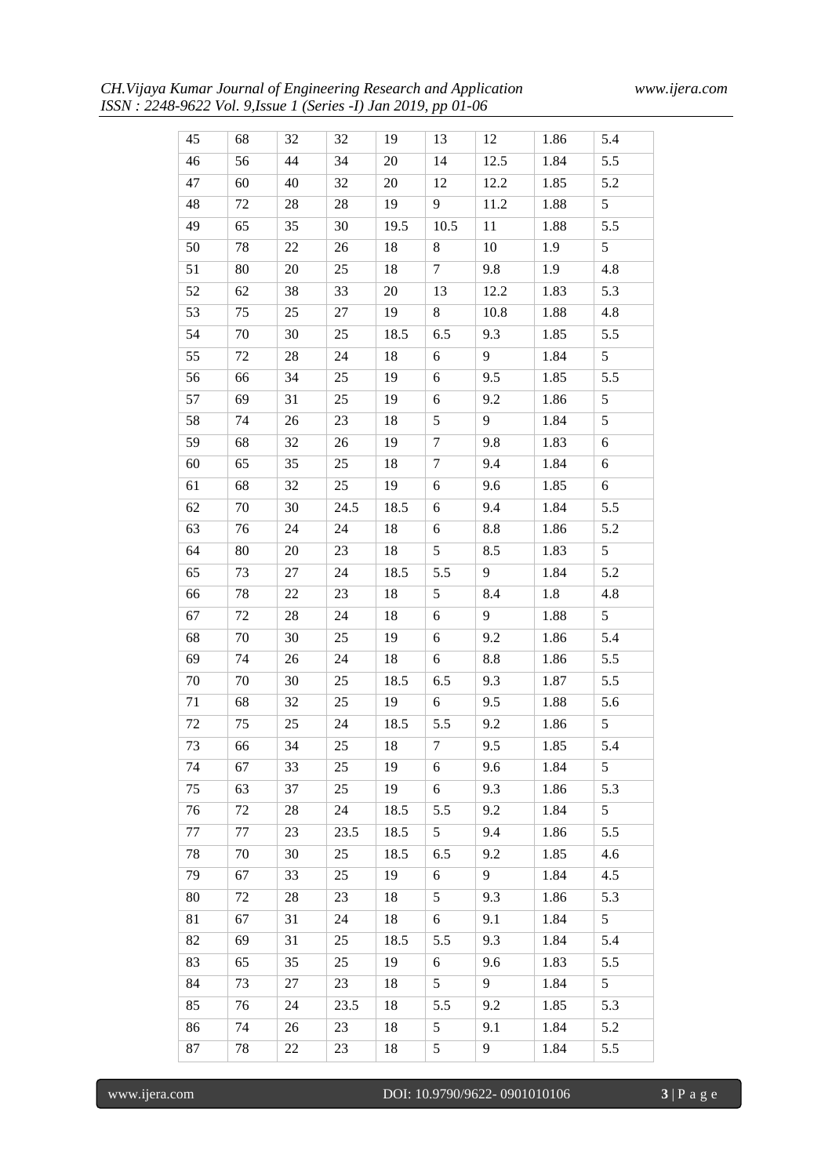| 45 | 68 | 32     | 32     | 19     | 13               | 12   | 1.86 | 5.4                   |
|----|----|--------|--------|--------|------------------|------|------|-----------------------|
| 46 | 56 | 44     | 34     | 20     | 14               | 12.5 | 1.84 | 5.5                   |
| 47 | 60 | 40     | 32     | $20\,$ | 12               | 12.2 | 1.85 | 5.2                   |
| 48 | 72 | 28     | 28     | 19     | 9                | 11.2 | 1.88 | 5                     |
| 49 | 65 | 35     | 30     | 19.5   | 10.5             | 11   | 1.88 | 5.5                   |
| 50 | 78 | 22     | 26     | 18     | 8                | 10   | 1.9  | 5                     |
| 51 | 80 | 20     | 25     | 18     | $\tau$           | 9.8  | 1.9  | 4.8                   |
| 52 | 62 | 38     | 33     | 20     | 13               | 12.2 | 1.83 | 5.3                   |
| 53 | 75 | 25     | 27     | 19     | 8                | 10.8 | 1.88 | 4.8                   |
| 54 | 70 | 30     | 25     | 18.5   | 6.5              | 9.3  | 1.85 | 5.5                   |
| 55 | 72 | 28     | 24     | 18     | 6                | 9    | 1.84 | 5                     |
| 56 | 66 | 34     | 25     | 19     | 6                | 9.5  | 1.85 | 5.5                   |
| 57 | 69 | 31     | 25     | 19     | 6                | 9.2  | 1.86 | 5                     |
| 58 | 74 | 26     | 23     | 18     | $\sqrt{5}$       | 9    | 1.84 | 5                     |
| 59 | 68 | 32     | 26     | 19     | $\tau$           | 9.8  | 1.83 | 6                     |
| 60 | 65 | 35     | 25     | 18     | $\tau$           | 9.4  | 1.84 | 6                     |
| 61 | 68 | 32     | 25     | 19     | 6                | 9.6  | 1.85 | 6                     |
| 62 | 70 | 30     | 24.5   | 18.5   | 6                | 9.4  | 1.84 | 5.5                   |
|    |    |        |        |        |                  |      |      |                       |
| 63 | 76 | 24     | 24     | 18     | 6<br>5           | 8.8  | 1.86 | 5.2<br>$\overline{5}$ |
| 64 | 80 | 20     | 23     | 18     |                  | 8.5  | 1.83 |                       |
| 65 | 73 | 27     | 24     | 18.5   | 5.5              | 9    | 1.84 | 5.2                   |
| 66 | 78 | 22     | 23     | 18     | 5                | 8.4  | 1.8  | 4.8                   |
| 67 | 72 | 28     | 24     | 18     | 6                | 9    | 1.88 | 5                     |
| 68 | 70 | 30     | 25     | 19     | 6                | 9.2  | 1.86 | 5.4                   |
| 69 | 74 | $26\,$ | 24     | 18     | 6                | 8.8  | 1.86 | 5.5                   |
| 70 | 70 | 30     | 25     | 18.5   | 6.5              | 9.3  | 1.87 | 5.5                   |
| 71 | 68 | 32     | 25     | 19     | 6                | 9.5  | 1.88 | 5.6                   |
| 72 | 75 | 25     | 24     | 18.5   | 5.5              | 9.2  | 1.86 | 5                     |
| 73 | 66 | 34     | $25\,$ | 18     | $\boldsymbol{7}$ | 9.5  | 1.85 | 5.4                   |
| 74 | 67 | 33     | 25     | 19     | 6                | 9.6  | 1.84 | 5                     |
| 75 | 63 | 37     | 25     | 19     | 6                | 9.3  | 1.86 | 5.3                   |
| 76 | 72 | 28     | 24     | 18.5   | 5.5              | 9.2  | 1.84 | $\overline{5}$        |
| 77 | 77 | 23     | 23.5   | 18.5   | 5                | 9.4  | 1.86 | 5.5                   |
| 78 | 70 | 30     | 25     | 18.5   | 6.5              | 9.2  | 1.85 | 4.6                   |
| 79 | 67 | 33     | 25     | 19     | 6                | 9    | 1.84 | 4.5                   |
| 80 | 72 | 28     | 23     | 18     | 5                | 9.3  | 1.86 | 5.3                   |
| 81 | 67 | 31     | 24     | 18     | 6                | 9.1  | 1.84 | $\overline{5}$        |
| 82 | 69 | 31     | 25     | 18.5   | 5.5              | 9.3  | 1.84 | 5.4                   |
| 83 | 65 | 35     | 25     | 19     | 6                | 9.6  | 1.83 | 5.5                   |
| 84 | 73 | 27     | 23     | 18     | 5                | 9    | 1.84 | 5                     |
| 85 | 76 | 24     | 23.5   | 18     | 5.5              | 9.2  | 1.85 | 5.3                   |
| 86 | 74 | 26     | 23     | 18     | 5                | 9.1  | 1.84 | 5.2                   |
| 87 | 78 | 22     | 23     | 18     | 5                | 9    | 1.84 | 5.5                   |

www.ijera.com DOI: 10.9790/9622- 0901010106 **3** | P a g e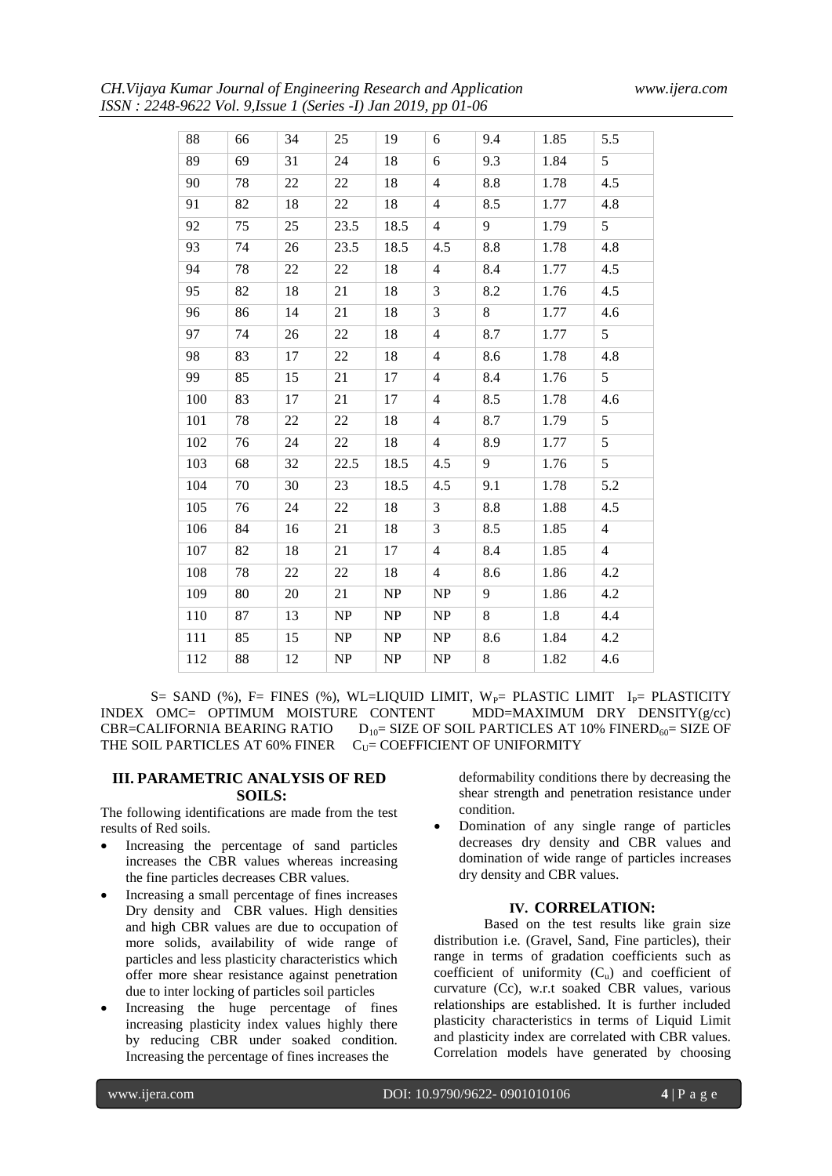*CH.Vijaya Kumar Journal of Engineering Research and Application www.ijera.com ISSN : 2248-9622 Vol. 9,Issue 1 (Series -I) Jan 2019, pp 01-06*

| 88  | 66 | 34 | 25                                | 19   | 6              | 9.4 | 1.85 | 5.5            |
|-----|----|----|-----------------------------------|------|----------------|-----|------|----------------|
| 89  | 69 | 31 | 24                                | 18   | 6              | 9.3 | 1.84 | 5              |
| 90  | 78 | 22 | 22                                | 18   | $\overline{4}$ | 8.8 | 1.78 | 4.5            |
| 91  | 82 | 18 | 22                                | 18   | $\overline{4}$ | 8.5 | 1.77 | 4.8            |
| 92  | 75 | 25 | 23.5                              | 18.5 | $\overline{4}$ | 9   | 1.79 | 5              |
| 93  | 74 | 26 | 23.5                              | 18.5 | 4.5            | 8.8 | 1.78 | 4.8            |
| 94  | 78 | 22 | 22                                | 18   | $\overline{4}$ | 8.4 | 1.77 | 4.5            |
| 95  | 82 | 18 | 21                                | 18   | 3              | 8.2 | 1.76 | 4.5            |
| 96  | 86 | 14 | 21                                | 18   | 3              | 8   | 1.77 | 4.6            |
| 97  | 74 | 26 | 22                                | 18   | $\overline{4}$ | 8.7 | 1.77 | $\overline{5}$ |
| 98  | 83 | 17 | 22                                | 18   | $\overline{4}$ | 8.6 | 1.78 | 4.8            |
| 99  | 85 | 15 | 21                                | 17   | 4              | 8.4 | 1.76 | 5              |
| 100 | 83 | 17 | 21                                | 17   | $\overline{4}$ | 8.5 | 1.78 | 4.6            |
| 101 | 78 | 22 | 22                                | 18   | $\overline{4}$ | 8.7 | 1.79 | 5              |
| 102 | 76 | 24 | 22                                | 18   | $\overline{4}$ | 8.9 | 1.77 | $\sqrt{5}$     |
| 103 | 68 | 32 | 22.5                              | 18.5 | 4.5            | 9   | 1.76 | $\sqrt{5}$     |
| 104 | 70 | 30 | 23                                | 18.5 | 4.5            | 9.1 | 1.78 | 5.2            |
| 105 | 76 | 24 | 22                                | 18   | 3              | 8.8 | 1.88 | 4.5            |
| 106 | 84 | 16 | 21                                | 18   | 3              | 8.5 | 1.85 | $\overline{4}$ |
| 107 | 82 | 18 | 21                                | 17   | $\overline{4}$ | 8.4 | 1.85 | $\overline{4}$ |
| 108 | 78 | 22 | 22                                | 18   | $\overline{4}$ | 8.6 | 1.86 | 4.2            |
| 109 | 80 | 20 | 21                                | NP   | NP             | 9   | 1.86 | 4.2            |
| 110 | 87 | 13 | NP                                | NP   | NP             | 8   | 1.8  | 4.4            |
| 111 | 85 | 15 | $\ensuremath{\mathbf{NP}}\xspace$ | NP   | NP             | 8.6 | 1.84 | 4.2            |
| 112 | 88 | 12 | NP                                | NP   | NP             | 8   | 1.82 | 4.6            |
|     |    |    |                                   |      |                |     |      |                |

S= SAND (%), F= FINES (%), WL=LIQUID LIMIT,  $W_P$ = PLASTIC LIMIT  $I_P$ = PLASTICITY OMC= OPTIMUM MOISTURE CONTENT MDD=MAXIMUM DRY DENSITY( $g/cc$ ) INDEX OMC= OPTIMUM MOISTURE CONTENT CBR=CALIFORNIA BEARING RATIO  $D_{10}=$  SIZE OF SOIL PARTICLES AT 10% FINERD<sub>60</sub>= SIZE OF THE SOIL PARTICLES AT 60% FINER  $C_{U}=$  COEFFICIENT OF UNIFORMITY

#### **III. PARAMETRIC ANALYSIS OF RED SOILS:**

The following identifications are made from the test results of Red soils.

- Increasing the percentage of sand particles increases the CBR values whereas increasing the fine particles decreases CBR values.
- Increasing a small percentage of fines increases Dry density and CBR values. High densities and high CBR values are due to occupation of more solids, availability of wide range of particles and less plasticity characteristics which offer more shear resistance against penetration due to inter locking of particles soil particles
- Increasing the huge percentage of fines increasing plasticity index values highly there by reducing CBR under soaked condition. Increasing the percentage of fines increases the

deformability conditions there by decreasing the shear strength and penetration resistance under condition.

 Domination of any single range of particles decreases dry density and CBR values and domination of wide range of particles increases dry density and CBR values.

# **IV. CORRELATION:**

Based on the test results like grain size distribution i.e. (Gravel, Sand, Fine particles), their range in terms of gradation coefficients such as coefficient of uniformity  $(C_u)$  and coefficient of curvature (Cc), w.r.t soaked CBR values, various relationships are established. It is further included plasticity characteristics in terms of Liquid Limit and plasticity index are correlated with CBR values. Correlation models have generated by choosing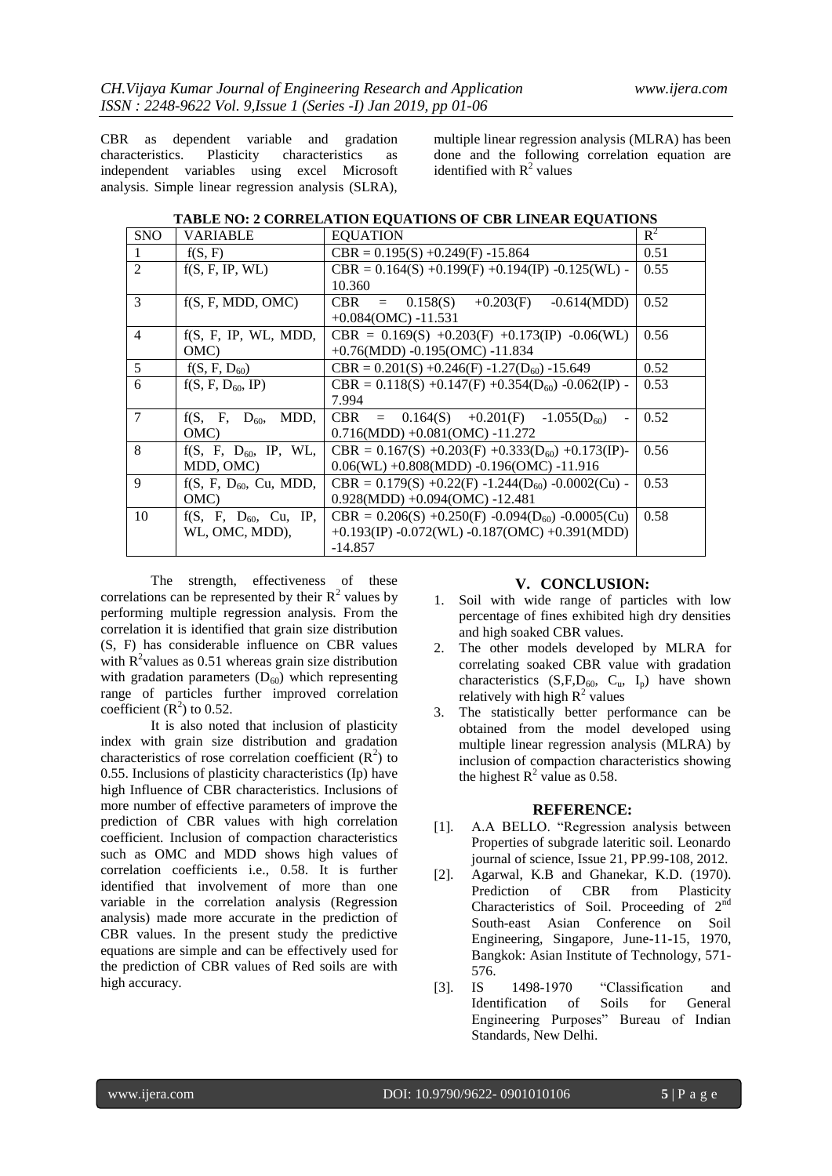CBR as dependent variable and gradation characteristics. Plasticity characteristics as independent variables using excel Microsoft analysis. Simple linear regression analysis (SLRA),

multiple linear regression analysis (MLRA) has been done and the following correlation equation are identified with  $R^2$  values

|  | TABLE NO: 2 CORRELATION EQUATIONS OF CBR LINEAR EQUATIONS |  |
|--|-----------------------------------------------------------|--|
|  |                                                           |  |

| <b>SNO</b>     | VARIABLE                   | <b>EOUATION</b>                                         | $R^2$ |
|----------------|----------------------------|---------------------------------------------------------|-------|
|                | f(S, F)                    | $CBR = 0.195(S) + 0.249(F) - 15.864$                    | 0.51  |
| 2              | f(S, F, IP, WL)            | $CBR = 0.164(S) +0.199(F) +0.194(IP) -0.125(WL) -$      | 0.55  |
|                |                            | 10.360                                                  |       |
| $\mathcal{E}$  | f(S, F, MDD, OMC)          | CBR = $0.158(S) +0.203(F)$<br>$-0.614(MDD)$             | 0.52  |
|                |                            | $+0.084$ (OMC) -11.531                                  |       |
| $\overline{4}$ | f(S, F, IP, WL, MDD,       | CBR = $0.169(S)$ +0.203(F) +0.173(IP) -0.06(WL)         | 0.56  |
|                | OMC)                       | $+0.76(MDD) -0.195(OMC) -11.834$                        |       |
| 5              | $f(S, F, D_{60})$          | $CBR = 0.201(S) + 0.246(F) - 1.27(D60) - 15.649$        | 0.52  |
| 6              | $f(S, F, D_{60}, IP)$      | CBR = $0.118(S) +0.147(F) +0.354(D_{60}) -0.062(IP)$ -  | 0.53  |
|                |                            | 7.994                                                   |       |
| $\tau$         | $f(S, F, D_{60}, MDD,$     | CBR = $0.164(S)$ +0.201(F) -1.055(D <sub>60</sub> )     | 0.52  |
|                | (OMC)                      | $0.716(MDD) + 0.081(OMC) - 11.272$                      |       |
| 8              | $f(S, F, D_{60}, IP, WL,$  | $CBR = 0.167(S) + 0.203(F) + 0.333(D_{60}) + 0.173(IP)$ | 0.56  |
|                | MDD, OMC)                  | $0.06(WL) + 0.808(MDD) - 0.196(OMC) - 11.916$           |       |
| 9              | $f(S, F, D_{60}, Cu, MDD,$ | $CBR = 0.179(S) +0.22(F) -1.244(D_{60}) -0.0002(Cu) -$  | 0.53  |
|                | OMC)                       | $0.928(MDD) + 0.094(OMC) - 12.481$                      |       |
| 10             | $f(S, F, D_{60}, Cu, IP,$  | $CBR = 0.206(S) +0.250(F) -0.094(D_{60}) -0.0005(Cu)$   | 0.58  |
|                | WL, OMC, MDD),             | +0.193(IP) -0.072(WL) -0.187(OMC) +0.391(MDD)           |       |
|                |                            | $-14.857$                                               |       |

The strength, effectiveness of these correlations can be represented by their  $R^2$  values by performing multiple regression analysis. From the correlation it is identified that grain size distribution (S, F) has considerable influence on CBR values with  $R^2$  values as 0.51 whereas grain size distribution with gradation parameters  $(D_{60})$  which representing range of particles further improved correlation coefficient  $(R^2)$  to 0.52.

It is also noted that inclusion of plasticity index with grain size distribution and gradation characteristics of rose correlation coefficient  $(R^2)$  to 0.55. Inclusions of plasticity characteristics (Ip) have high Influence of CBR characteristics. Inclusions of more number of effective parameters of improve the prediction of CBR values with high correlation coefficient. Inclusion of compaction characteristics such as OMC and MDD shows high values of correlation coefficients i.e., 0.58. It is further identified that involvement of more than one variable in the correlation analysis (Regression analysis) made more accurate in the prediction of CBR values. In the present study the predictive equations are simple and can be effectively used for the prediction of CBR values of Red soils are with high accuracy.

# **V. CONCLUSION:**

- 1. Soil with wide range of particles with low percentage of fines exhibited high dry densities and high soaked CBR values.
- 2. The other models developed by MLRA for correlating soaked CBR value with gradation characteristics  $(S, F, D_{60}, C_u, I_n)$  have shown relatively with high  $R^2$  values
- 3. The statistically better performance can be obtained from the model developed using multiple linear regression analysis (MLRA) by inclusion of compaction characteristics showing the highest  $R^2$  value as 0.58.

### **REFERENCE:**

- [1]. A.A BELLO. "Regression analysis between Properties of subgrade lateritic soil. Leonardo journal of science, Issue 21, PP.99-108, 2012.
- [2]. Agarwal, K.B and Ghanekar, K.D. (1970). Prediction of CBR from Plasticity Characteristics of Soil. Proceeding of  $2<sup>nd</sup>$ South-east Asian Conference on Soil Engineering, Singapore, June-11-15, 1970, Bangkok: Asian Institute of Technology, 571- 576.
- [3]. IS 1498-1970 "Classification and Identification of Soils for General Engineering Purposes" Bureau of Indian Standards, New Delhi.